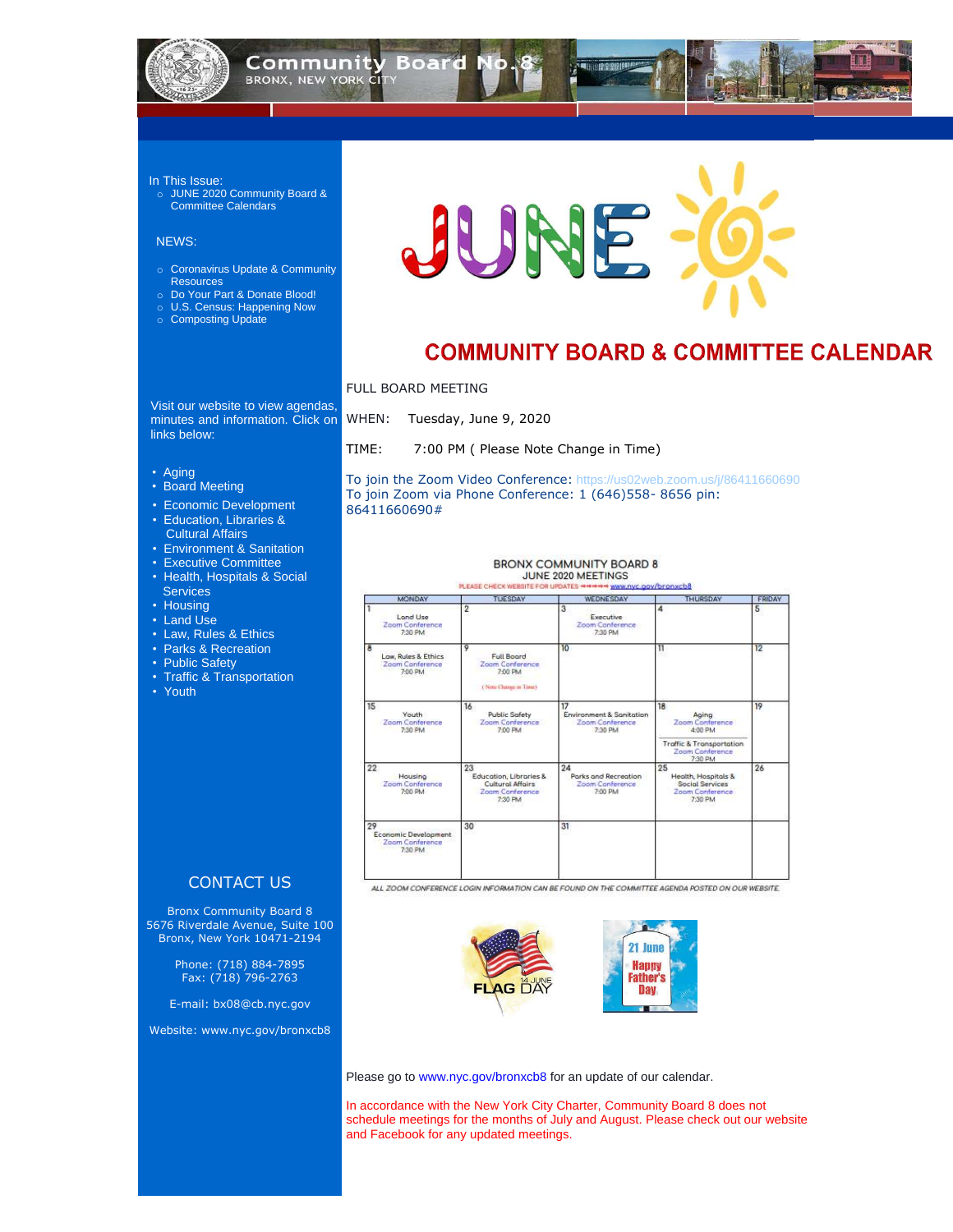

## **Community Board N BRONX, NEW YORK CITY**

#### In This Issue:

o JUNE 2020 Community Board & Committee Calendars

#### NEWS:

- o Coronavirus Update & Community **Resources**
- o Do Your Part & Donate Blood!
- o U.S. Census: Happening Now
- o Composting Update



# **COMMUNITY BOARD & COMMITTEE CALENDAR**

Visit our website to view agendas, minutes and information. Click on WHEN: links below:

- [Aging](http://www.nyc.gov/html/bxcb8/html/committees/aging.shtml)
- [Board Meeting](http://www.nyc.gov/html/bxcb8/html/board/board.shtml)
- [Economic Development](http://www.nyc.gov/html/bxcb8/html/committees/economic.shtml)
- Education, [Libraries &](http://www.nyc.gov/html/bxcb8/html/committees/affairs.shtml)  ……. [Cultural Affairs](http://www.nyc.gov/html/bxcb8/html/committees/affairs.shtml)
- [Environment & Sanitation](http://www.nyc.gov/html/bxcb8/html/committees/environment.shtml)
- [Executive Committee](http://www.nyc.gov/html/bxcb8/html/board/executive_board.shtml)
- [Health, Hospitals & Social](http://www.nyc.gov/html/bxcb8/html/committees/health.shtml)  **Services**
- [Housing](http://www.nyc.gov/html/bxcb8/html/committees/housing.shtml)
- [Land Use](http://www.nyc.gov/html/bxcb8/html/committees/land.shtml)
- [Law, Rules & Ethics](http://www.nyc.gov/html/bxcb8/html/committees/law.shtml)
- [Parks & Recreation](http://www.nyc.gov/html/bxcb8/html/committees/recreation.shtml)
- [Public Safety](http://www.nyc.gov/html/bxcb8/html/committees/safety.shtml)
- [Traffic & Transportation](http://www.nyc.gov/html/bxcb8/html/committees/transport.shtml)
- [Youth](http://www.nyc.gov/html/bxcb8/html/committees/transport.shtml)

## Tuesday, June 9, 2020

| <b>CONTACT US</b> |  |
|-------------------|--|

Bronx Community Board 8 5676 Riverdale Avenue, Suite 100 Bronx, New York 10471-2194

> Phone: (718) 884-7895 Fax: (718) 796-2763

E-mail: [bx08@cb.nyc.gov](mailto:bx08@cb.nyc.gov)

Website: [www.nyc.gov/bronxcb8](http://www.nyc.gov/bronxcb8)

ALL ZOOM CONFERENCE LOGIN INFORMATION CAN BE FOUND ON THE COMMITTEE AGENDA POSTED ON OUR WEBSITE.



Please go to [www.nyc.gov/bronxcb8](http://www.nyc.gov/bronxcb8) for an update of our calendar.

#### FULL BOARD MEETING

TIME: 7:00 PM ( Please Note Change in Time)

To join the Zoom Video Conference: <https://us02web.zoom.us/j/86411660690> To join Zoom via Phone Conference: 1 (646)558- 8656 pin: 86411660690#

#### **BRONX COMMUNITY BOARD 8** JUNE 2020 MEETINGS

PLEASE CHECK WEBSITE FOR UPDATES \*\*\*\*\*\* www.nyc.gov/bronxcb8

| <b>MONDAY</b>                                            | <b>TUESDAY</b>                                                                 | WEDNESDAY                                                    | <b>THURSDAY</b>                                                                                     | <b>FRIDAY</b> |
|----------------------------------------------------------|--------------------------------------------------------------------------------|--------------------------------------------------------------|-----------------------------------------------------------------------------------------------------|---------------|
| Land Use<br>Zoom Conference<br>7:30 PM                   | 2                                                                              | 3<br><b>Executive</b><br>Zoom Conference<br>7:30 PM          | 4                                                                                                   | 5             |
| 8<br>Low, Rules & Ethics<br>Zoam Conference<br>7:00 PM   | 9<br><b>Full Board</b><br>Zoom Conference<br>7:00 PM<br>(Nete Change in Time)  | 10 <sup>°</sup>                                              | $\mathbb{1}$                                                                                        | 12            |
| 15<br>Youth<br>Zoom Conference<br>7:30 PM                | 16<br><b>Public Safety</b><br>Zoom Conference<br>7:00 PM                       | 17<br>Environment & Sanitation<br>Zoom Conference<br>7:30 PM | 18<br>Aging<br>Zoom Conference<br>4:00 PM<br><b>Traffic &amp; Transportation</b><br>Zoom Conference | 19            |
| 22<br>Housing<br>Zoom Conference<br>7:00 PM              | 23<br>Education, Libraries &<br>Cultural Affairs<br>Zoom Conference<br>7:30 PM | 24<br>Porks and Recreation<br>Zoom Conference<br>7:00 PM     | 7:30 PM<br>25<br>Health, Hospitals &<br><b>Social Services</b><br>Zoom Conference<br>7:30 PM        | 26            |
| 29<br>Economic Development<br>Zoam Conference<br>7:30 PM | 30                                                                             | 31                                                           |                                                                                                     |               |

In accordance with the New York City Charter, Community Board 8 does not schedule meetings for the months of July and August. Please check out our website and Facebook for any updated meetings.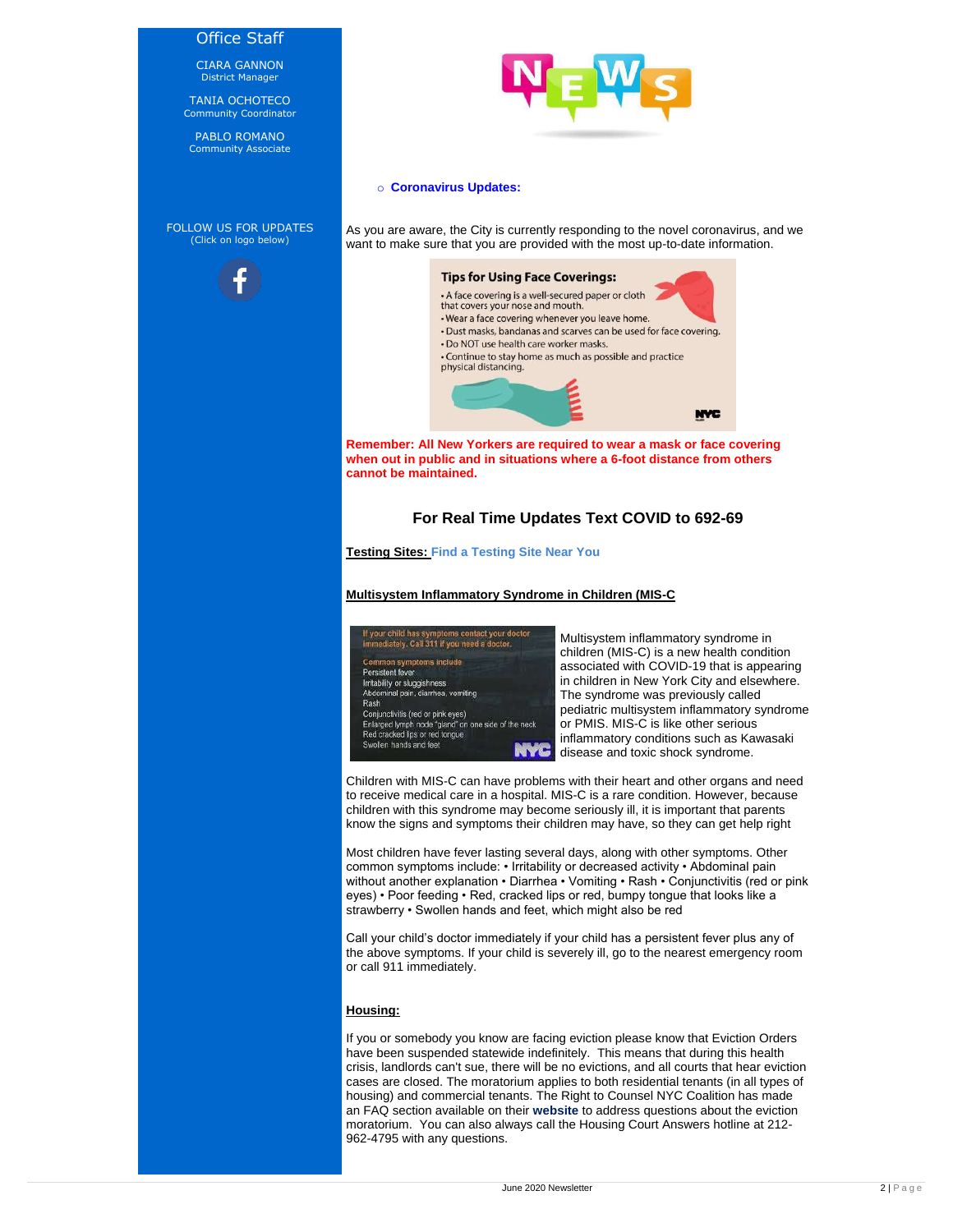### Office Staff

CIARA GANNON District Manager

TANIA OCHOTECO Community Coordinator

PABLO ROMANO Community Associate

FOLLOW US FOR UPDATES (Click on logo below)





#### o **Coronavirus Updates:**

As you are aware, the City is currently responding to the novel coronavirus, and we want to make sure that you are provided with the most up-to-date information.

#### **Tips for Using Face Coverings:**



**Remember: All New Yorkers are required to wear a mask or face covering when out in public and in situations where a 6-foot distance from others cannot be maintained.**

# **For Real Time Updates Text COVID to 692-69**

**Testing Sites: [Find a Testing Site Near You](https://coronavirus.health.ny.gov/covid-19-testing)**

**Multisystem Inflammatory Syndrome in Children (MIS-C**

| If your child has symptoms contact your doctor<br>immediately. Call 311 if you need a doctor. |  |
|-----------------------------------------------------------------------------------------------|--|
| Common symptoms include<br>Persistent fever                                                   |  |
| Irritability or sluggishness<br>Abdominal pain, diarrhea, vomiting                            |  |

Multisystem inflammatory syndrome in children (MIS-C) is a new health condition associated with COVID-19 that is appearing in children in New York City and elsewhere. The syndrome was previously called pediatric multisystem inflammatory syndrome or PMIS. MIS-C is like other serious inflammatory conditions such as Kawasaki disease and toxic shock syndrome.



Children with MIS-C can have problems with their heart and other organs and need to receive medical care in a hospital. MIS-C is a rare condition. However, because children with this syndrome may become seriously ill, it is important that parents know the signs and symptoms their children may have, so they can get help right

Most children have fever lasting several days, along with other symptoms. Other common symptoms include: • Irritability or decreased activity • Abdominal pain without another explanation • Diarrhea • Vomiting • Rash • Conjunctivitis (red or pink eyes) • Poor feeding • Red, cracked lips or red, bumpy tongue that looks like a strawberry • Swollen hands and feet, which might also be red

Call your child's doctor immediately if your child has a persistent fever plus any of the above symptoms. If your child is severely ill, go to the nearest emergency room or call 911 immediately.

### **Housing:**

If you or somebody you know are facing eviction please know that Eviction Orders have been suspended statewide indefinitely. This means that during this health crisis, landlords can't sue, there will be no evictions, and all courts that hear eviction cases are closed. The moratorium applies to both residential tenants (in all types of housing) and commercial tenants. The Right to Counsel NYC Coalition has made an FAQ section available on their **[website](https://www.righttocounselnyc.org/moratorium_faq)** to address questions about the eviction moratorium. You can also always call the Housing Court Answers hotline at 212- 962-4795 with any questions.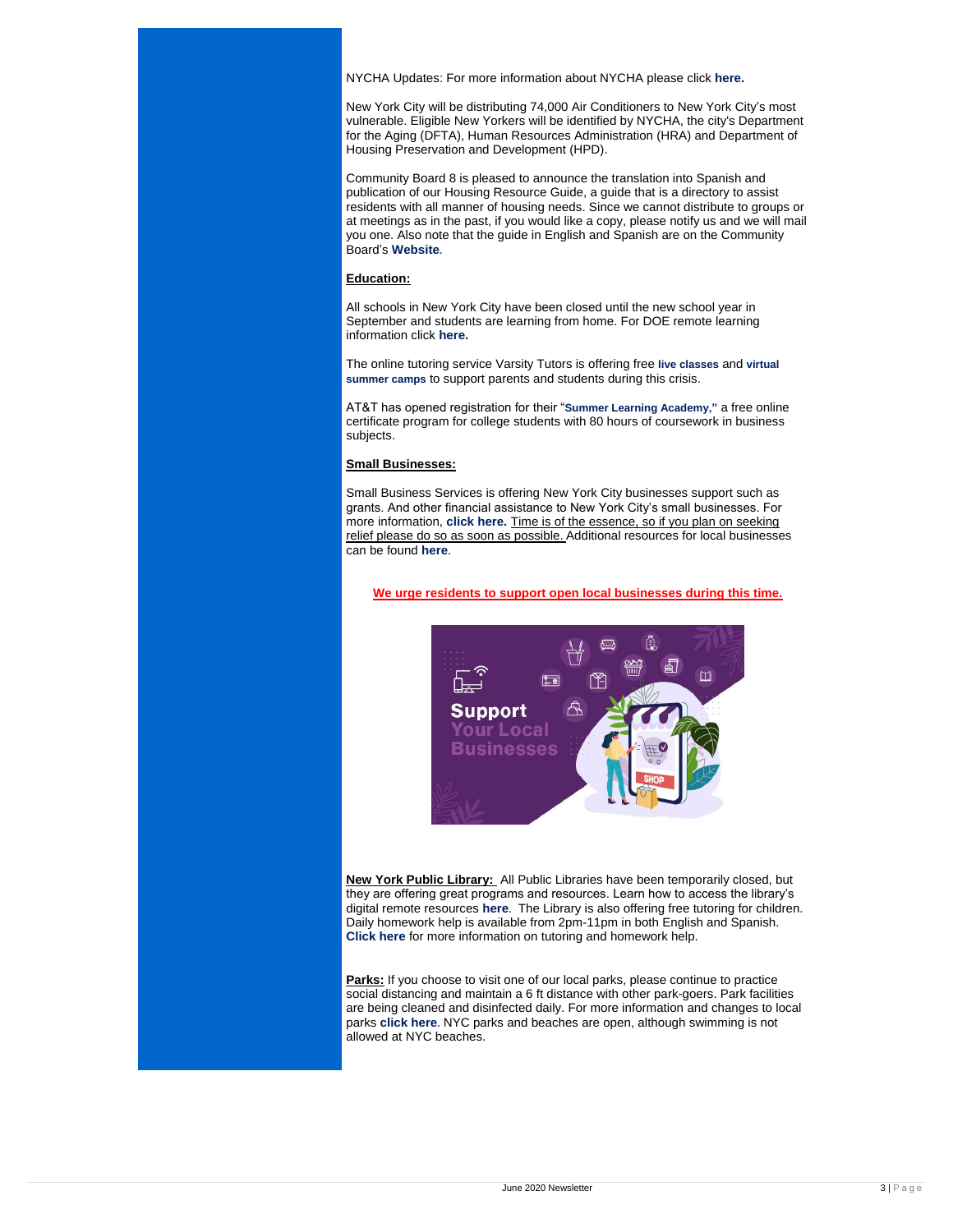NYCHA Updates: For more information about NYCHA please click **[here.](http://nychanow.nyc/)**

New York City will be distributing 74,000 Air Conditioners to New York City's most vulnerable. Eligible New Yorkers will be identified by NYCHA, the city's Department for the Aging (DFTA), Human Resources Administration (HRA) and Department of Housing Preservation and Development (HPD).

Community Board 8 is pleased to announce the translation into Spanish and publication of our Housing Resource Guide, a guide that is a directory to assist residents with all manner of housing needs. Since we cannot distribute to groups or at meetings as in the past, if you would like a copy, please notify us and we will mail you one. Also note that the guide in English and Spanish are on the Community Board's **[Website](https://www1.nyc.gov/assets/bronxcb8/pdf/housing_resource_guide_signed.pdf).**

#### **Education:**

All schools in New York City have been closed until the new school year in September and students are learning from home. For DOE remote learning information click **[here.](https://facebook.us18.list-manage.com/track/click?u=7bb6a2e67ca3f7b91a8d7ecc3&id=28717a98a7&e=9cbce6187d)**

The online tutoring service Varsity Tutors is offering free **[live classes](https://facebook.us18.list-manage.com/track/click?u=7bb6a2e67ca3f7b91a8d7ecc3&id=01329734bf&e=9cbce6187d)** and **[virtual](https://facebook.us18.list-manage.com/track/click?u=7bb6a2e67ca3f7b91a8d7ecc3&id=780b9a9532&e=9cbce6187d)  [summer camps](https://facebook.us18.list-manage.com/track/click?u=7bb6a2e67ca3f7b91a8d7ecc3&id=780b9a9532&e=9cbce6187d)** to support parents and students during this crisis.

AT&T has opened registration for their "**[Summer Learning Academy,](https://facebook.us18.list-manage.com/track/click?u=7bb6a2e67ca3f7b91a8d7ecc3&id=6b173bafd7&e=9cbce6187d)"** a free online certificate program for college students with 80 hours of coursework in business subjects.

**Parks:** If you choose to visit one of our local parks, please continue to practice social distancing and maintain a 6 ft distance with other park-goers. Park facilities are being cleaned and disinfected daily. For more information and changes to local parks **[click here](https://www.nycgovparks.org/about/health-and-safety-guide/coronavirus).** NYC parks and beaches are open, although swimming is not allowed at NYC beaches.

#### **Small Businesses:**

Small Business Services is offering New York City businesses support such as grants. And other financial assistance to New York City's small businesses. For more information, **[click here.](https://www1.nyc.gov/assets/sbs/downloads/pdf/businesses/covid19/covid19biz-resources.pdf)** Time is of the essence, so if you plan on seeking relief please do so as soon as possible. Additional resources for local businesses can be found **[here](https://www1.nyc.gov/site/sbs/businesses/covid19-business-tips-faqs.page).**

**We urge residents to support open local businesses during this time.**



**New York Public Library:** All Public Libraries have been temporarily closed, but they are offering great programs and resources. Learn how to access the library's digital remote resources **[here](https://www.nypl.org/about/remote-resources).** The Library is also offering free tutoring for children. Daily homework help is available from 2pm-11pm in both English and Spanish. **[Click here](https://www.nypl.org/about/remote-resources/kids-and-teens/homework-help-brainfuse)** for more information on tutoring and homework help.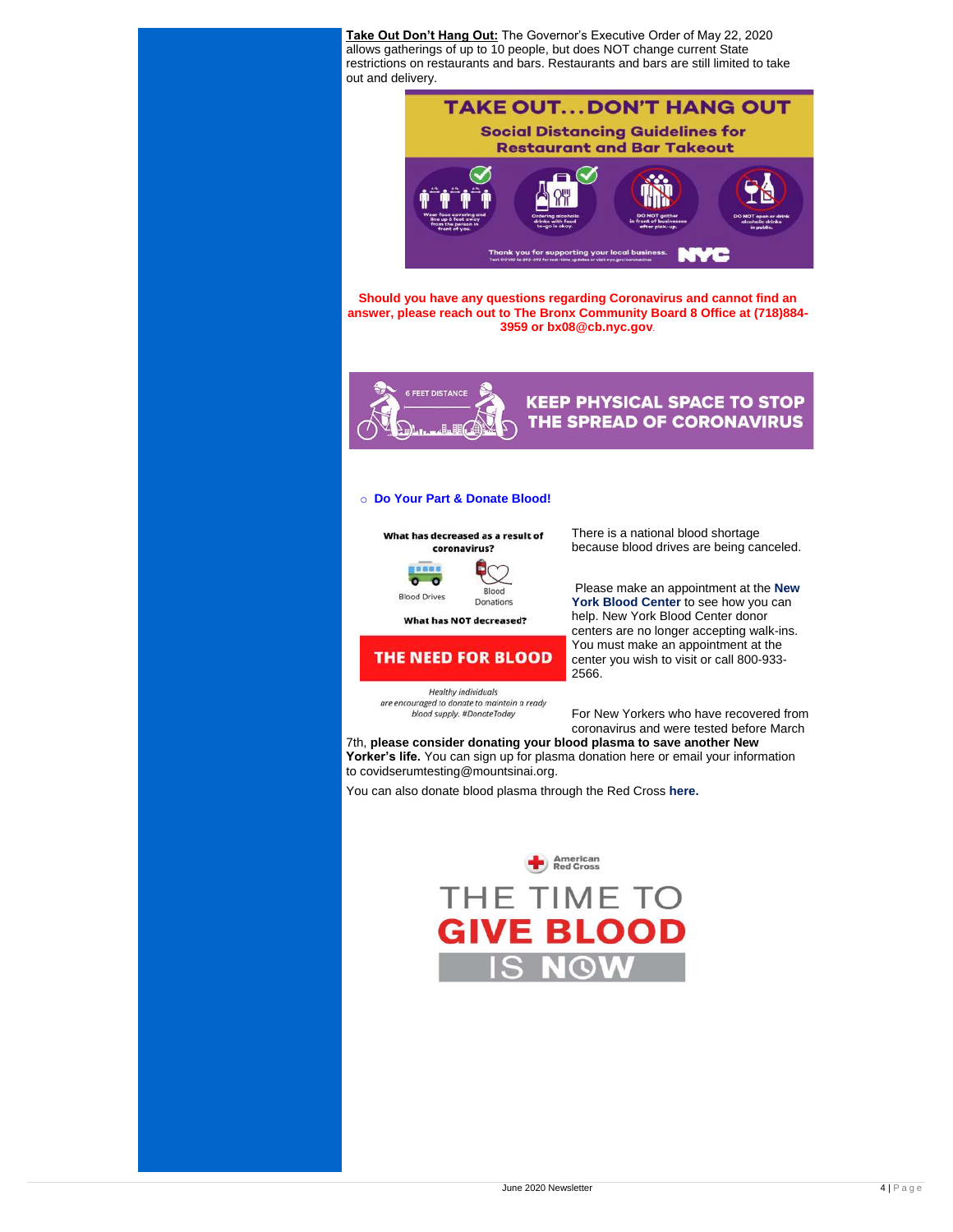**Take Out Don't Hang Out:** The Governor's Executive Order of May 22, 2020 allows gatherings of up to 10 people, but does NOT change current State restrictions on restaurants and bars. Restaurants and bars are still limited to take out and delivery.

# **TAKE OUT...DON'T HANG OUT Social Distancing Guidelines for Restaurant and Bar Takeout**

**Should you have any questions regarding Coronavirus and cannot find an answer, please reach out to The Bronx Community Board 8 Office at (718)884- 3959 or [bx08@cb.nyc.gov](mailto:bx08@cb.nyc.gov)**.

Thank you for supporting your local business.



# **KEEP PHYSICAL SPACE TO STOP** THE SPREAD OF CORONAVIRUS

### o **Do Your Part & Donate Blood!**



There is a national blood shortage because blood drives are being canceled.

Please make an appointment at the **[New](https://nybloodcenter.org/)  [York Blood](https://nybloodcenter.org/) Center** to see how you can help. [New York Blood Center](https://facebook.us18.list-manage.com/track/click?u=7bb6a2e67ca3f7b91a8d7ecc3&id=645ab77d25&e=9cbce6187d) donor centers are no longer accepting walk-ins. You must make an [appointment](https://facebook.us18.list-manage.com/track/click?u=7bb6a2e67ca3f7b91a8d7ecc3&id=5c411dcb62&e=9cbce6187d) at the center you wish to visit or call 800-933- 2566.

Healthy individuals

are encouraged to donate to maintain a ready blood supply. #DonateToday

For New Yorkers who have recovered from coronavirus and were tested before March

7th, **please consider donating your blood plasma to save another New Yorker's life.** You can sign up for plasma donation [here](https://facebook.us18.list-manage.com/track/click?u=7bb6a2e67ca3f7b91a8d7ecc3&id=7a036f6909&e=9cbce6187d) or email your information to [covidserumtesting@mountsinai.org.](mailto:covidserumtesting@mountsinai.org)

You can also donate blood plasma through the Red Cross **[here.](https://www.redcrossblood.org/give.html/find-drive?scode=RSG00000E017&cid=brand&med=cpc&source=google&gclid=Cj0KCQjwka_1BRCPARIsAMlUmEr_a1IS9R78STmWxkqyIMSNudyf8yjb7V9pS1iaujKurXgGWnouT1waApo_EALw_wcB&gclsrc=aw.ds)** 



# THE TIME TO **GIVE BLOOD IS NOW**